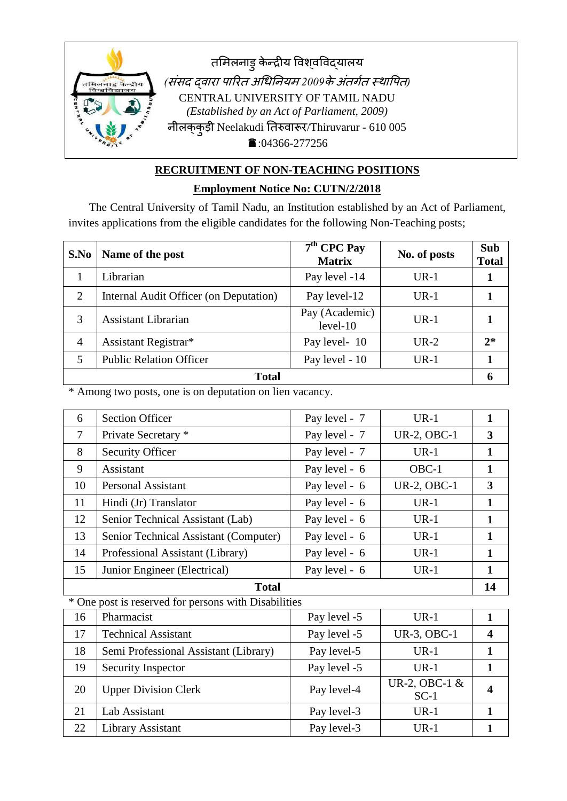

# **RECRUITMENT OF NON-TEACHING POSITIONS**

### **Employment Notice No: CUTN/2/2018**

The Central University of Tamil Nadu, an Institution established by an Act of Parliament, invites applications from the eligible candidates for the following Non-Teaching posts;

| S.No           | Name of the post                       | $7th$ CPC Pay<br><b>Matrix</b> | No. of posts | <b>Sub</b><br><b>Total</b> |
|----------------|----------------------------------------|--------------------------------|--------------|----------------------------|
|                | Librarian                              | Pay level -14                  | $UR-1$       |                            |
| 2              | Internal Audit Officer (on Deputation) | Pay level-12                   | $UR-1$       |                            |
| 3              | <b>Assistant Librarian</b>             | Pay (Academic)<br>$level-10$   | $UR-1$       |                            |
| $\overline{4}$ | Assistant Registrar*                   | Pay level-10                   | $UR-2$       | $2*$                       |
| 5              | <b>Public Relation Officer</b>         | Pay level - 10                 | $UR-1$       |                            |
| <b>Total</b>   |                                        |                                |              |                            |

\* Among two posts, one is on deputation on lien vacancy.

| 6              | <b>Section Officer</b>                               | Pay level - 7 | $UR-1$                  | $\mathbf{1}$            |
|----------------|------------------------------------------------------|---------------|-------------------------|-------------------------|
| $\overline{7}$ | Private Secretary *                                  | Pay level - 7 | <b>UR-2, OBC-1</b>      | $\overline{3}$          |
| 8              | <b>Security Officer</b>                              | Pay level - 7 | $UR-1$                  | $\mathbf{1}$            |
| 9              | Assistant                                            | Pay level - 6 | OBC-1                   | $\mathbf{1}$            |
| 10             | <b>Personal Assistant</b>                            | Pay level - 6 | <b>UR-2, OBC-1</b>      | 3                       |
| 11             | Hindi (Jr) Translator                                | Pay level - 6 | $UR-1$                  | $\mathbf{1}$            |
| 12             | Senior Technical Assistant (Lab)                     | Pay level - 6 | $UR-1$                  | $\mathbf{1}$            |
| 13             | Senior Technical Assistant (Computer)                | Pay level - 6 | $UR-1$                  | $\mathbf{1}$            |
| 14             | Professional Assistant (Library)                     | Pay level - 6 | $UR-1$                  | $\mathbf{1}$            |
| 15             | Junior Engineer (Electrical)                         | Pay level - 6 | $UR-1$                  | $\mathbf{1}$            |
|                | <b>Total</b>                                         |               |                         | 14                      |
|                | * One post is reserved for persons with Disabilities |               |                         |                         |
| 16             | Pharmacist                                           | Pay level -5  | $UR-1$                  | $\mathbf{1}$            |
| 17             | <b>Technical Assistant</b>                           | Pay level -5  | UR-3, OBC-1             | $\overline{\mathbf{4}}$ |
| 18             | Semi Professional Assistant (Library)                | Pay level-5   | $UR-1$                  | $\mathbf{1}$            |
| 19             | Security Inspector                                   | Pay level -5  | $UR-1$                  | $\mathbf{1}$            |
| 20             | <b>Upper Division Clerk</b>                          | Pay level-4   | UR-2, OBC-1 &<br>$SC-1$ | 4                       |
| 21             | Lab Assistant                                        | Pay level-3   | $UR-1$                  | $\mathbf{1}$            |
| 22             | Library Assistant                                    | Pay level-3   | $UR-1$                  | $\mathbf{1}$            |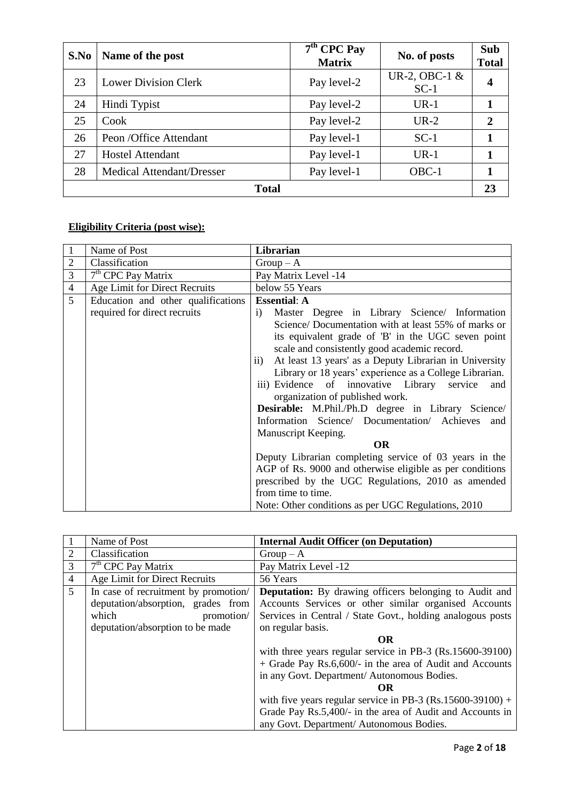| S.No         | Name of the post                 | $7th$ CPC Pay<br><b>Matrix</b> | No. of posts              | Sub<br><b>Total</b> |
|--------------|----------------------------------|--------------------------------|---------------------------|---------------------|
| 23           | <b>Lower Division Clerk</b>      | Pay level-2                    | UR-2, OBC-1 $&$<br>$SC-1$ | 4                   |
| 24           | Hindi Typist                     | Pay level-2                    | $UR-1$                    | 1                   |
| 25           | Cook                             | Pay level-2                    | $UR-2$                    | $\overline{2}$      |
| 26           | Peon /Office Attendant           | Pay level-1                    | $SC-1$                    |                     |
| 27           | <b>Hostel Attendant</b>          | Pay level-1                    | $UR-1$                    |                     |
| 28           | <b>Medical Attendant/Dresser</b> | Pay level-1                    | OBC-1                     |                     |
| <b>Total</b> |                                  |                                |                           | 23                  |

# **Eligibility Criteria (post wise):**

|                | Name of Post                       | Librarian                                                               |
|----------------|------------------------------------|-------------------------------------------------------------------------|
| $\overline{c}$ | Classification                     | $Group-A$                                                               |
| $\overline{3}$ | $7th$ CPC Pay Matrix               | Pay Matrix Level -14                                                    |
| $\overline{4}$ | Age Limit for Direct Recruits      | below 55 Years                                                          |
| 5 <sup>5</sup> | Education and other qualifications | <b>Essential: A</b>                                                     |
|                | required for direct recruits       | $\mathbf{i}$<br>Master Degree in Library Science/ Information           |
|                |                                    | Science/Documentation with at least 55% of marks or                     |
|                |                                    | its equivalent grade of 'B' in the UGC seven point                      |
|                |                                    | scale and consistently good academic record.                            |
|                |                                    | At least 13 years' as a Deputy Librarian in University<br>$\mathbf{ii}$ |
|                |                                    | Library or 18 years' experience as a College Librarian.                 |
|                |                                    | iii) Evidence of innovative Library service<br>and                      |
|                |                                    | organization of published work.                                         |
|                |                                    | Desirable: M.Phil./Ph.D degree in Library Science/                      |
|                |                                    | Information Science/ Documentation/ Achieves and                        |
|                |                                    | Manuscript Keeping.                                                     |
|                |                                    | <b>OR</b>                                                               |
|                |                                    | Deputy Librarian completing service of 03 years in the                  |
|                |                                    | AGP of Rs. 9000 and otherwise eligible as per conditions                |
|                |                                    | prescribed by the UGC Regulations, 2010 as amended                      |
|                |                                    | from time to time.                                                      |
|                |                                    | Note: Other conditions as per UGC Regulations, 2010                     |

|                | Name of Post                         | <b>Internal Audit Officer (on Deputation)</b>                 |
|----------------|--------------------------------------|---------------------------------------------------------------|
| 2              | Classification                       | $Group-A$                                                     |
| 3              | $7th$ CPC Pay Matrix                 | Pay Matrix Level -12                                          |
| $\overline{4}$ | Age Limit for Direct Recruits        | 56 Years                                                      |
| $\overline{5}$ | In case of recruitment by promotion/ | <b>Deputation:</b> By drawing officers belonging to Audit and |
|                | deputation/absorption, grades from   | Accounts Services or other similar organised Accounts         |
|                | which<br>promotion/                  | Services in Central / State Govt., holding analogous posts    |
|                | deputation/absorption to be made     | on regular basis.                                             |
|                |                                      | <b>OR</b>                                                     |
|                |                                      | with three years regular service in PB-3 (Rs.15600-39100)     |
|                |                                      | + Grade Pay Rs.6,600/- in the area of Audit and Accounts      |
|                |                                      | in any Govt. Department/ Autonomous Bodies.                   |
|                |                                      | OR                                                            |
|                |                                      | with five years regular service in PB-3 (Rs.15600-39100) +    |
|                |                                      | Grade Pay Rs.5,400/- in the area of Audit and Accounts in     |
|                |                                      | any Govt. Department/ Autonomous Bodies.                      |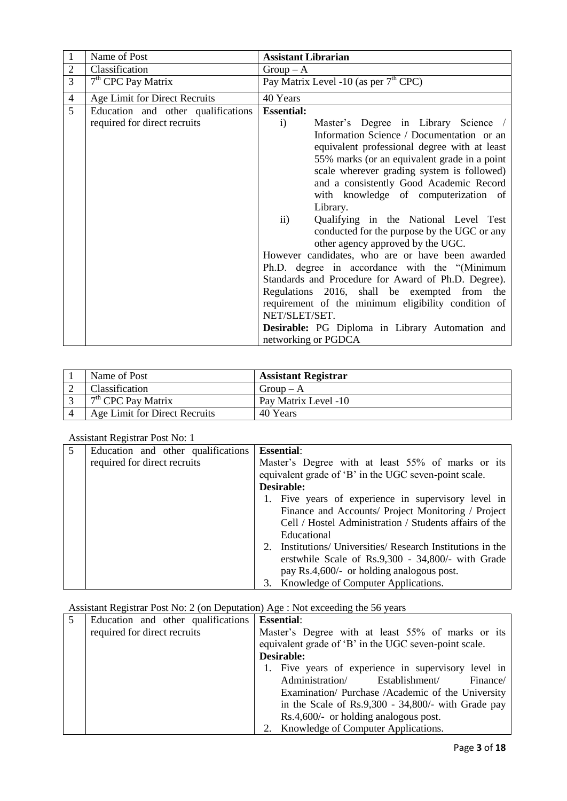| $\mathbf{1}$   | Name of Post                       | <b>Assistant Librarian</b>                                                                                                                                                                                                                                                                                                                                                                                                                                                                                                                                                                                                                                                                                                                                                                                                                                 |
|----------------|------------------------------------|------------------------------------------------------------------------------------------------------------------------------------------------------------------------------------------------------------------------------------------------------------------------------------------------------------------------------------------------------------------------------------------------------------------------------------------------------------------------------------------------------------------------------------------------------------------------------------------------------------------------------------------------------------------------------------------------------------------------------------------------------------------------------------------------------------------------------------------------------------|
| $\mathbf{2}$   | Classification                     | $Group-A$                                                                                                                                                                                                                                                                                                                                                                                                                                                                                                                                                                                                                                                                                                                                                                                                                                                  |
| 3              | $7th$ CPC Pay Matrix               | Pay Matrix Level -10 (as per 7 <sup>th</sup> CPC)                                                                                                                                                                                                                                                                                                                                                                                                                                                                                                                                                                                                                                                                                                                                                                                                          |
| $\overline{4}$ | Age Limit for Direct Recruits      | 40 Years                                                                                                                                                                                                                                                                                                                                                                                                                                                                                                                                                                                                                                                                                                                                                                                                                                                   |
| $\overline{5}$ | Education and other qualifications | <b>Essential:</b>                                                                                                                                                                                                                                                                                                                                                                                                                                                                                                                                                                                                                                                                                                                                                                                                                                          |
|                | required for direct recruits       | Master's Degree in Library Science /<br>$\mathbf{i}$<br>Information Science / Documentation or an<br>equivalent professional degree with at least<br>55% marks (or an equivalent grade in a point<br>scale wherever grading system is followed)<br>and a consistently Good Academic Record<br>with knowledge of computerization of<br>Library.<br>$\mathbf{ii}$<br>Qualifying in the National Level Test<br>conducted for the purpose by the UGC or any<br>other agency approved by the UGC.<br>However candidates, who are or have been awarded<br>Ph.D. degree in accordance with the "(Minimum<br>Standards and Procedure for Award of Ph.D. Degree).<br>Regulations 2016, shall be exempted from the<br>requirement of the minimum eligibility condition of<br>NET/SLET/SET.<br>Desirable: PG Diploma in Library Automation and<br>networking or PGDCA |

| Name of Post                  | <b>Assistant Registrar</b> |
|-------------------------------|----------------------------|
| <b>Classification</b>         | $Group-A$                  |
| $7th$ CPC Pay Matrix          | Pay Matrix Level -10       |
| Age Limit for Direct Recruits | 40 Years                   |

#### Assistant Registrar Post No: 1

|   | 71331314111 IXCEIStraf I OSt IVO. 1 |  |                                                          |
|---|-------------------------------------|--|----------------------------------------------------------|
| 5 | Education and other qualifications  |  | <b>Essential:</b>                                        |
|   | required for direct recruits        |  | Master's Degree with at least 55% of marks or its        |
|   |                                     |  | equivalent grade of 'B' in the UGC seven-point scale.    |
|   |                                     |  | Desirable:                                               |
|   |                                     |  | 1. Five years of experience in supervisory level in      |
|   |                                     |  | Finance and Accounts/ Project Monitoring / Project       |
|   |                                     |  | Cell / Hostel Administration / Students affairs of the   |
|   |                                     |  | Educational                                              |
|   |                                     |  | Institutions/ Universities/ Research Institutions in the |
|   |                                     |  | erstwhile Scale of Rs.9,300 - 34,800/- with Grade        |
|   |                                     |  | pay Rs.4,600/- or holding analogous post.                |
|   |                                     |  | 3. Knowledge of Computer Applications.                   |

# Assistant Registrar Post No: 2 (on Deputation) Age : Not exceeding the 56 years

| Education and other qualifications | <b>Essential:</b>                                     |
|------------------------------------|-------------------------------------------------------|
| required for direct recruits       | Master's Degree with at least 55% of marks or its     |
|                                    | equivalent grade of 'B' in the UGC seven-point scale. |
|                                    | Desirable:                                            |
|                                    | 1. Five years of experience in supervisory level in   |
|                                    | Administration/<br>Establishment/<br>Finance/         |
|                                    | Examination/ Purchase /Academic of the University     |
|                                    | in the Scale of Rs.9,300 - 34,800/- with Grade pay    |
|                                    | $Rs.4,600/-$ or holding analogous post.               |
|                                    | Knowledge of Computer Applications.<br>2.             |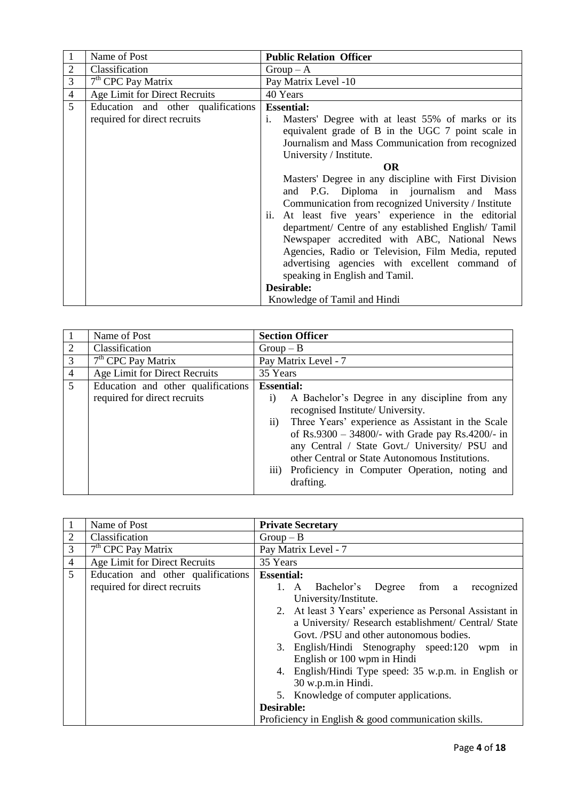|                | Name of Post                       | <b>Public Relation Officer</b>                          |
|----------------|------------------------------------|---------------------------------------------------------|
| 2              | Classification                     | $Group-A$                                               |
| 3              | $7th$ CPC Pay Matrix               | Pay Matrix Level -10                                    |
| $\overline{4}$ | Age Limit for Direct Recruits      | 40 Years                                                |
| 5              | Education and other qualifications | <b>Essential:</b>                                       |
|                | required for direct recruits       | Masters' Degree with at least 55% of marks or its<br>i. |
|                |                                    | equivalent grade of B in the UGC 7 point scale in       |
|                |                                    | Journalism and Mass Communication from recognized       |
|                |                                    | University / Institute.                                 |
|                |                                    | <b>OR</b>                                               |
|                |                                    | Masters' Degree in any discipline with First Division   |
|                |                                    | and P.G. Diploma in journalism and Mass                 |
|                |                                    | Communication from recognized University / Institute    |
|                |                                    | ii. At least five years' experience in the editorial    |
|                |                                    | department/ Centre of any established English/ Tamil    |
|                |                                    | Newspaper accredited with ABC, National News            |
|                |                                    | Agencies, Radio or Television, Film Media, reputed      |
|                |                                    | advertising agencies with excellent command of          |
|                |                                    | speaking in English and Tamil.                          |
|                |                                    | Desirable:                                              |
|                |                                    | Knowledge of Tamil and Hindi                            |

|                | Name of Post                       |                               | <b>Section Officer</b>                                                                                                                                                                                                                                                                                                                                               |  |
|----------------|------------------------------------|-------------------------------|----------------------------------------------------------------------------------------------------------------------------------------------------------------------------------------------------------------------------------------------------------------------------------------------------------------------------------------------------------------------|--|
| 2              | Classification                     | $Group-B$                     |                                                                                                                                                                                                                                                                                                                                                                      |  |
| 3              | $7th$ CPC Pay Matrix               |                               | Pay Matrix Level - 7                                                                                                                                                                                                                                                                                                                                                 |  |
| $\overline{4}$ | Age Limit for Direct Recruits      | 35 Years                      |                                                                                                                                                                                                                                                                                                                                                                      |  |
| $\overline{5}$ | Education and other qualifications | <b>Essential:</b>             |                                                                                                                                                                                                                                                                                                                                                                      |  |
|                | required for direct recruits       | $\mathbf{i}$<br>$\mathbf{ii}$ | A Bachelor's Degree in any discipline from any<br>recognised Institute/ University.<br>Three Years' experience as Assistant in the Scale<br>of Rs.9300 - 34800/- with Grade pay Rs.4200/- in<br>any Central / State Govt./ University/ PSU and<br>other Central or State Autonomous Institutions.<br>iii) Proficiency in Computer Operation, noting and<br>drafting. |  |

|                | Name of Post                       | <b>Private Secretary</b>                                                                                                                                    |
|----------------|------------------------------------|-------------------------------------------------------------------------------------------------------------------------------------------------------------|
| $\overline{2}$ | Classification                     | $Group-B$                                                                                                                                                   |
| 3              | $7th$ CPC Pay Matrix               | Pay Matrix Level - 7                                                                                                                                        |
| $\overline{4}$ | Age Limit for Direct Recruits      | 35 Years                                                                                                                                                    |
| 5              | Education and other qualifications | <b>Essential:</b>                                                                                                                                           |
|                | required for direct recruits       | 1. A Bachelor's Degree from a<br>recognized<br>University/Institute.                                                                                        |
|                |                                    | 2. At least 3 Years' experience as Personal Assistant in<br>a University/ Research establishment/ Central/ State<br>Govt. /PSU and other autonomous bodies. |
|                |                                    | 3. English/Hindi Stenography speed:120<br>wpm in<br>English or 100 wpm in Hindi                                                                             |
|                |                                    | 4. English/Hindi Type speed: 35 w.p.m. in English or<br>30 w.p.m.in Hindi.                                                                                  |
|                |                                    | 5. Knowledge of computer applications.                                                                                                                      |
|                |                                    | Desirable:                                                                                                                                                  |
|                |                                    | Proficiency in English $\&$ good communication skills.                                                                                                      |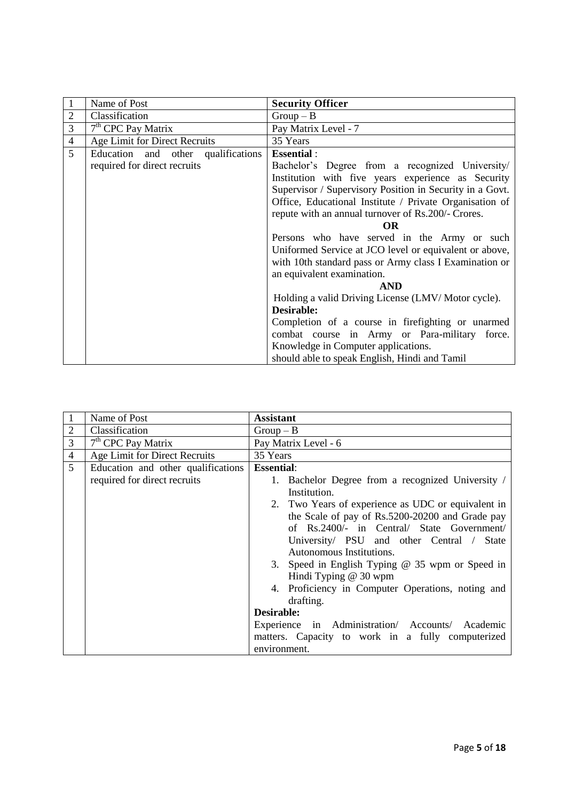|                | Name of Post                       | <b>Security Officer</b>                                  |
|----------------|------------------------------------|----------------------------------------------------------|
| $\overline{2}$ | Classification                     | $Group-B$                                                |
| 3              | $7th$ CPC Pay Matrix               | Pay Matrix Level - 7                                     |
| $\overline{4}$ | Age Limit for Direct Recruits      | 35 Years                                                 |
| 5              | Education and other qualifications | <b>Essential:</b>                                        |
|                | required for direct recruits       | Bachelor's Degree from a recognized University/          |
|                |                                    | Institution with five years experience as Security       |
|                |                                    | Supervisor / Supervisory Position in Security in a Govt. |
|                |                                    | Office, Educational Institute / Private Organisation of  |
|                |                                    | repute with an annual turnover of Rs.200/- Crores.       |
|                |                                    | OR                                                       |
|                |                                    | Persons who have served in the Army or such              |
|                |                                    | Uniformed Service at JCO level or equivalent or above,   |
|                |                                    | with 10th standard pass or Army class I Examination or   |
|                |                                    | an equivalent examination.                               |
|                |                                    | <b>AND</b>                                               |
|                |                                    | Holding a valid Driving License (LMV/Motor cycle).       |
|                |                                    | Desirable:                                               |
|                |                                    | Completion of a course in firefighting or unarmed        |
|                |                                    | combat course in Army or Para-military force.            |
|                |                                    | Knowledge in Computer applications.                      |
|                |                                    | should able to speak English, Hindi and Tamil            |

|                | Name of Post                       | <b>Assistant</b>                                   |
|----------------|------------------------------------|----------------------------------------------------|
| $\overline{2}$ | Classification                     | $Group-B$                                          |
| 3              | $7th$ CPC Pay Matrix               | Pay Matrix Level - 6                               |
| $\overline{4}$ | Age Limit for Direct Recruits      | 35 Years                                           |
| 5 <sup>5</sup> | Education and other qualifications | <b>Essential:</b>                                  |
|                | required for direct recruits       | 1. Bachelor Degree from a recognized University /  |
|                |                                    | Institution.                                       |
|                |                                    | 2. Two Years of experience as UDC or equivalent in |
|                |                                    | the Scale of pay of Rs.5200-20200 and Grade pay    |
|                |                                    | of Rs.2400/- in Central/ State Government/         |
|                |                                    | University/ PSU and other Central / State          |
|                |                                    | Autonomous Institutions.                           |
|                |                                    | 3. Speed in English Typing @ 35 wpm or Speed in    |
|                |                                    | Hindi Typing @ 30 wpm                              |
|                |                                    | 4. Proficiency in Computer Operations, noting and  |
|                |                                    | drafting.                                          |
|                |                                    | <b>Desirable:</b>                                  |
|                |                                    | Experience in Administration/ Accounts/ Academic   |
|                |                                    | matters. Capacity to work in a fully computerized  |
|                |                                    | environment.                                       |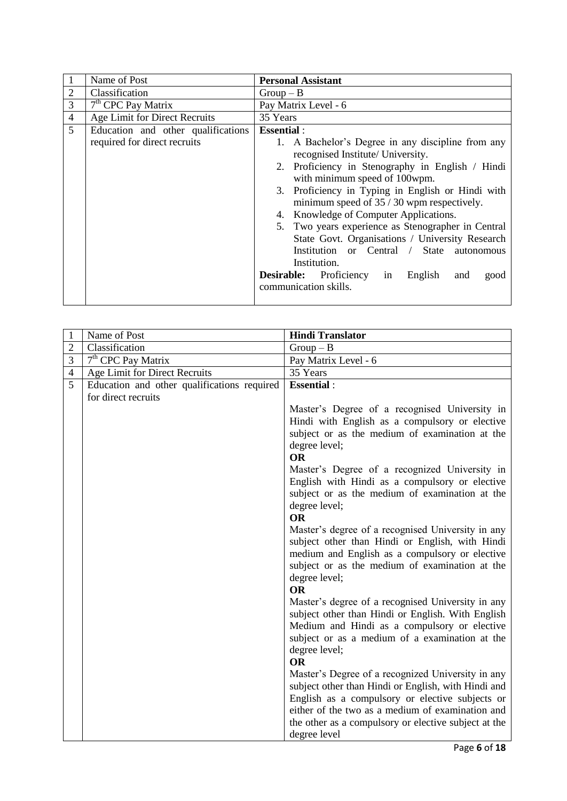|                | Name of Post                                                       | <b>Personal Assistant</b>                                                                                                                                                                                                                                                                                                                                                                                                                  |
|----------------|--------------------------------------------------------------------|--------------------------------------------------------------------------------------------------------------------------------------------------------------------------------------------------------------------------------------------------------------------------------------------------------------------------------------------------------------------------------------------------------------------------------------------|
| $\overline{2}$ | Classification                                                     | $Group-B$                                                                                                                                                                                                                                                                                                                                                                                                                                  |
| 3              | $7th$ CPC Pay Matrix                                               | Pay Matrix Level - 6                                                                                                                                                                                                                                                                                                                                                                                                                       |
| $\overline{4}$ | Age Limit for Direct Recruits                                      | 35 Years                                                                                                                                                                                                                                                                                                                                                                                                                                   |
| $\overline{5}$ | Education and other qualifications<br>required for direct recruits | <b>Essential:</b><br>1. A Bachelor's Degree in any discipline from any<br>recognised Institute/ University.<br>Proficiency in Stenography in English / Hindi<br>2.                                                                                                                                                                                                                                                                         |
|                |                                                                    | with minimum speed of 100wpm.<br>3. Proficiency in Typing in English or Hindi with<br>minimum speed of $35/30$ wpm respectively.<br>Knowledge of Computer Applications.<br>4.<br>5. Two years experience as Stenographer in Central<br>State Govt. Organisations / University Research<br>Institution or Central / State autonomous<br>Institution.<br><b>Desirable:</b> Proficiency in<br>English<br>and<br>good<br>communication skills. |

| $\mathbf{1}$   | Name of Post                                | <b>Hindi Translator</b>                                                                              |
|----------------|---------------------------------------------|------------------------------------------------------------------------------------------------------|
| $\overline{2}$ | Classification                              | $Group-B$                                                                                            |
| 3              | 7 <sup>th</sup> CPC Pay Matrix              | Pay Matrix Level - 6                                                                                 |
| $\overline{4}$ | Age Limit for Direct Recruits               | 35 Years                                                                                             |
| $\overline{5}$ | Education and other qualifications required | <b>Essential:</b>                                                                                    |
|                | for direct recruits                         |                                                                                                      |
|                |                                             | Master's Degree of a recognised University in                                                        |
|                |                                             | Hindi with English as a compulsory or elective                                                       |
|                |                                             | subject or as the medium of examination at the                                                       |
|                |                                             | degree level;                                                                                        |
|                |                                             | <b>OR</b>                                                                                            |
|                |                                             | Master's Degree of a recognized University in                                                        |
|                |                                             | English with Hindi as a compulsory or elective                                                       |
|                |                                             | subject or as the medium of examination at the                                                       |
|                |                                             | degree level;<br><b>OR</b>                                                                           |
|                |                                             |                                                                                                      |
|                |                                             | Master's degree of a recognised University in any<br>subject other than Hindi or English, with Hindi |
|                |                                             | medium and English as a compulsory or elective                                                       |
|                |                                             | subject or as the medium of examination at the                                                       |
|                |                                             | degree level;                                                                                        |
|                |                                             | <b>OR</b>                                                                                            |
|                |                                             | Master's degree of a recognised University in any                                                    |
|                |                                             | subject other than Hindi or English. With English                                                    |
|                |                                             | Medium and Hindi as a compulsory or elective                                                         |
|                |                                             | subject or as a medium of a examination at the                                                       |
|                |                                             | degree level;                                                                                        |
|                |                                             | <b>OR</b>                                                                                            |
|                |                                             | Master's Degree of a recognized University in any                                                    |
|                |                                             | subject other than Hindi or English, with Hindi and                                                  |
|                |                                             | English as a compulsory or elective subjects or                                                      |
|                |                                             | either of the two as a medium of examination and                                                     |
|                |                                             | the other as a compulsory or elective subject at the                                                 |
|                |                                             | degree level                                                                                         |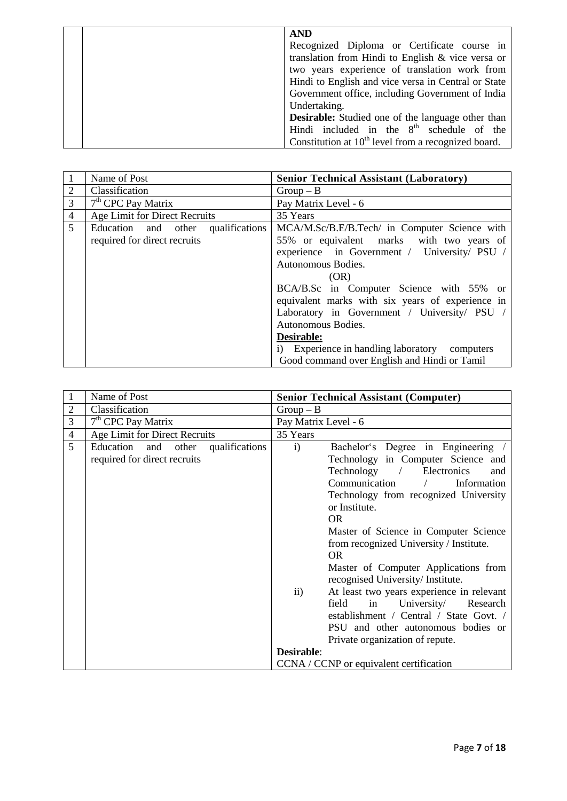| <b>AND</b>                                               |
|----------------------------------------------------------|
| Recognized Diploma or Certificate course in              |
| translation from Hindi to English & vice versa or        |
| two years experience of translation work from            |
| Hindi to English and vice versa in Central or State      |
| Government office, including Government of India         |
| Undertaking.                                             |
| <b>Desirable:</b> Studied one of the language other than |
| Hindi included in the $8th$ schedule of the              |
| Constitution at $10th$ level from a recognized board.    |

|                | Name of Post                       | <b>Senior Technical Assistant (Laboratory)</b>   |
|----------------|------------------------------------|--------------------------------------------------|
| $\overline{2}$ | Classification                     | $Group-B$                                        |
| 3              | $7th$ CPC Pay Matrix               | Pay Matrix Level - 6                             |
| $\overline{4}$ | Age Limit for Direct Recruits      | 35 Years                                         |
| $\mathfrak{S}$ | Education and other qualifications | MCA/M.Sc/B.E/B.Tech/ in Computer Science with    |
|                | required for direct recruits       | 55% or equivalent marks with two years of        |
|                |                                    | experience in Government / University/ PSU /     |
|                |                                    | Autonomous Bodies.                               |
|                |                                    | (OR)                                             |
|                |                                    | BCA/B.Sc in Computer Science with 55% or         |
|                |                                    | equivalent marks with six years of experience in |
|                |                                    | Laboratory in Government / University/ PSU /     |
|                |                                    | Autonomous Bodies.                               |
|                |                                    | Desirable:                                       |
|                |                                    | i) Experience in handling laboratory computers   |
|                |                                    | Good command over English and Hindi or Tamil     |

|                | Name of Post                                                          | <b>Senior Technical Assistant (Computer)</b>                                                                                                                                                                                                                                                                                                                                                                                                                                                   |
|----------------|-----------------------------------------------------------------------|------------------------------------------------------------------------------------------------------------------------------------------------------------------------------------------------------------------------------------------------------------------------------------------------------------------------------------------------------------------------------------------------------------------------------------------------------------------------------------------------|
| $\overline{2}$ | Classification                                                        | $Group-B$                                                                                                                                                                                                                                                                                                                                                                                                                                                                                      |
| 3              | $7th$ CPC Pay Matrix                                                  | Pay Matrix Level - 6                                                                                                                                                                                                                                                                                                                                                                                                                                                                           |
| $\overline{4}$ | Age Limit for Direct Recruits                                         | 35 Years                                                                                                                                                                                                                                                                                                                                                                                                                                                                                       |
| 5              | Education and other<br>qualifications<br>required for direct recruits | Bachelor's Degree in Engineering<br>$\mathbf{i}$<br>Technology in Computer Science and<br>$Technology$ /<br>Electronics<br>and<br>Communication<br>Information<br>$\sqrt{2}$<br>Technology from recognized University<br>or Institute.<br><b>OR</b><br>Master of Science in Computer Science<br>from recognized University / Institute.<br><b>OR</b><br>Master of Computer Applications from<br>recognised University/Institute.<br>At least two years experience in relevant<br>$\mathbf{ii}$ |
|                |                                                                       | field<br>in<br>University/ Research<br>establishment / Central / State Govt. /<br>PSU and other autonomous bodies or<br>Private organization of repute.                                                                                                                                                                                                                                                                                                                                        |
|                |                                                                       | <b>Desirable:</b>                                                                                                                                                                                                                                                                                                                                                                                                                                                                              |
|                |                                                                       | CCNA / CCNP or equivalent certification                                                                                                                                                                                                                                                                                                                                                                                                                                                        |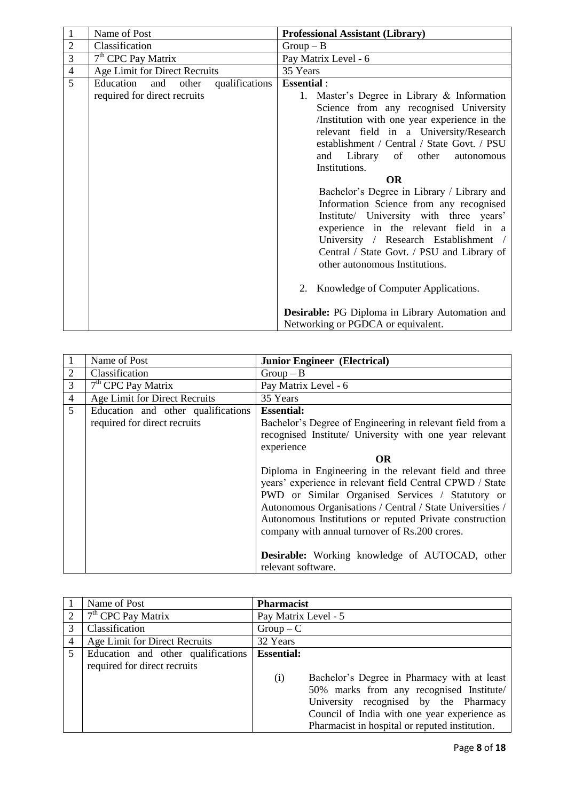|              |                                                                                                               | <b>Professional Assistant (Library)</b>                                                                                                                                                                                                                                                                                                                                                                                                                                                                                                                                                                                                                                                                                                                                  |
|--------------|---------------------------------------------------------------------------------------------------------------|--------------------------------------------------------------------------------------------------------------------------------------------------------------------------------------------------------------------------------------------------------------------------------------------------------------------------------------------------------------------------------------------------------------------------------------------------------------------------------------------------------------------------------------------------------------------------------------------------------------------------------------------------------------------------------------------------------------------------------------------------------------------------|
|              |                                                                                                               | $Group-B$                                                                                                                                                                                                                                                                                                                                                                                                                                                                                                                                                                                                                                                                                                                                                                |
|              |                                                                                                               | Pay Matrix Level - 6                                                                                                                                                                                                                                                                                                                                                                                                                                                                                                                                                                                                                                                                                                                                                     |
|              |                                                                                                               | 35 Years                                                                                                                                                                                                                                                                                                                                                                                                                                                                                                                                                                                                                                                                                                                                                                 |
| and<br>other | qualifications                                                                                                | <b>Essential:</b><br>1. Master's Degree in Library & Information<br>Science from any recognised University<br>/Institution with one year experience in the<br>relevant field in a University/Research<br>establishment / Central / State Govt. / PSU<br>and Library of other<br>autonomous<br>Institutions.<br><b>OR</b><br>Bachelor's Degree in Library / Library and<br>Information Science from any recognised<br>Institute/ University with three years'<br>experience in the relevant field in a<br>University / Research Establishment /<br>Central / State Govt. / PSU and Library of<br>other autonomous Institutions.<br>2. Knowledge of Computer Applications.<br><b>Desirable:</b> PG Diploma in Library Automation and<br>Networking or PGDCA or equivalent. |
|              | Name of Post<br>Classification<br>7 <sup>th</sup> CPC Pay Matrix<br>Education<br>required for direct recruits | Age Limit for Direct Recruits                                                                                                                                                                                                                                                                                                                                                                                                                                                                                                                                                                                                                                                                                                                                            |

|                | Name of Post                       | <b>Junior Engineer (Electrical)</b>                                                                                                                                                                                                                                                                                                              |
|----------------|------------------------------------|--------------------------------------------------------------------------------------------------------------------------------------------------------------------------------------------------------------------------------------------------------------------------------------------------------------------------------------------------|
|                | Classification                     | $Group-B$                                                                                                                                                                                                                                                                                                                                        |
| 3              | $7th$ CPC Pay Matrix               | Pay Matrix Level - 6                                                                                                                                                                                                                                                                                                                             |
| $\overline{4}$ | Age Limit for Direct Recruits      | 35 Years                                                                                                                                                                                                                                                                                                                                         |
| 5              | Education and other qualifications | <b>Essential:</b>                                                                                                                                                                                                                                                                                                                                |
|                | required for direct recruits       | Bachelor's Degree of Engineering in relevant field from a<br>recognised Institute/ University with one year relevant                                                                                                                                                                                                                             |
|                |                                    | experience                                                                                                                                                                                                                                                                                                                                       |
|                |                                    | OR.                                                                                                                                                                                                                                                                                                                                              |
|                |                                    | Diploma in Engineering in the relevant field and three<br>years' experience in relevant field Central CPWD / State<br>PWD or Similar Organised Services / Statutory or<br>Autonomous Organisations / Central / State Universities /<br>Autonomous Institutions or reputed Private construction<br>company with annual turnover of Rs.200 crores. |
|                |                                    | <b>Desirable:</b> Working knowledge of AUTOCAD, other                                                                                                                                                                                                                                                                                            |
|                |                                    | relevant software.                                                                                                                                                                                                                                                                                                                               |

|   | Name of Post                       | <b>Pharmacist</b>                                  |
|---|------------------------------------|----------------------------------------------------|
|   | $7th$ CPC Pay Matrix               | Pay Matrix Level - 5                               |
| 3 | Classification                     | $Group - C$                                        |
| 4 | Age Limit for Direct Recruits      | 32 Years                                           |
| 5 | Education and other qualifications | <b>Essential:</b>                                  |
|   | required for direct recruits       |                                                    |
|   |                                    | Bachelor's Degree in Pharmacy with at least<br>(i) |
|   |                                    | 50% marks from any recognised Institute/           |
|   |                                    | University recognised by the Pharmacy              |
|   |                                    | Council of India with one year experience as       |
|   |                                    | Pharmacist in hospital or reputed institution.     |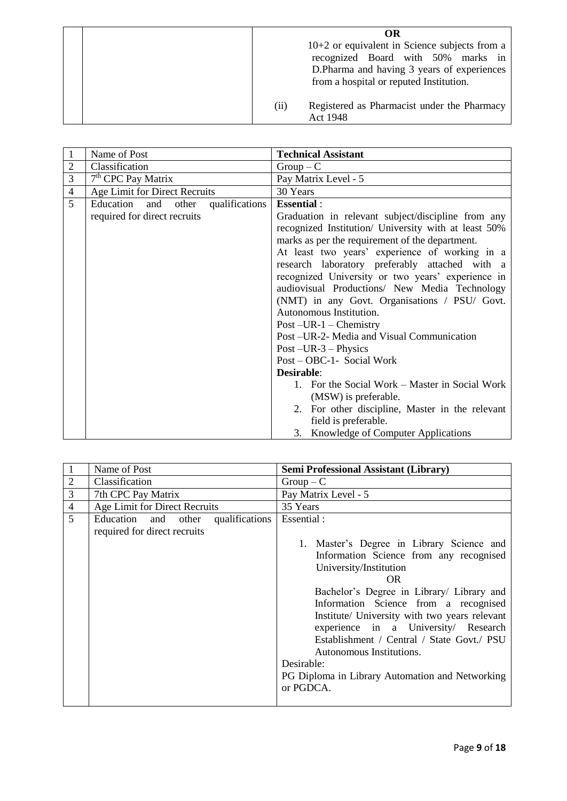| OR                                                                                     |
|----------------------------------------------------------------------------------------|
| $10+2$ or equivalent in Science subjects from a                                        |
| recognized Board with 50% marks in                                                     |
| D. Pharma and having 3 years of experiences<br>from a hospital or reputed Institution. |
| Registered as Pharmacist under the Pharmacy<br>(i)<br>Act 1948                         |

| 1              | Name of Post                          | <b>Technical Assistant</b>                                                                                                                                                                                                                                                                                             |
|----------------|---------------------------------------|------------------------------------------------------------------------------------------------------------------------------------------------------------------------------------------------------------------------------------------------------------------------------------------------------------------------|
| $\overline{2}$ | Classification                        | $Group - C$                                                                                                                                                                                                                                                                                                            |
| 3              | $7th$ CPC Pay Matrix                  | Pay Matrix Level - 5                                                                                                                                                                                                                                                                                                   |
| $\overline{4}$ | Age Limit for Direct Recruits         | 30 Years                                                                                                                                                                                                                                                                                                               |
| 5              | qualifications<br>Education and other | <b>Essential:</b>                                                                                                                                                                                                                                                                                                      |
|                | required for direct recruits          | Graduation in relevant subject/discipline from any<br>recognized Institution/ University with at least 50%<br>marks as per the requirement of the department.<br>At least two years' experience of working in a<br>research laboratory preferably attached with a<br>recognized University or two years' experience in |
|                |                                       | audiovisual Productions/ New Media Technology                                                                                                                                                                                                                                                                          |
|                |                                       | (NMT) in any Govt. Organisations / PSU/ Govt.                                                                                                                                                                                                                                                                          |
|                |                                       | Autonomous Institution.                                                                                                                                                                                                                                                                                                |
|                |                                       | Post $-UR-1$ – Chemistry                                                                                                                                                                                                                                                                                               |
|                |                                       | Post -UR-2- Media and Visual Communication                                                                                                                                                                                                                                                                             |
|                |                                       | Post $-UR-3$ – Physics                                                                                                                                                                                                                                                                                                 |
|                |                                       | Post - OBC-1- Social Work                                                                                                                                                                                                                                                                                              |
|                |                                       | <b>Desirable:</b>                                                                                                                                                                                                                                                                                                      |
|                |                                       | 1. For the Social Work – Master in Social Work                                                                                                                                                                                                                                                                         |
|                |                                       | (MSW) is preferable.                                                                                                                                                                                                                                                                                                   |
|                |                                       | 2. For other discipline, Master in the relevant<br>field is preferable.                                                                                                                                                                                                                                                |
|                |                                       | 3. Knowledge of Computer Applications                                                                                                                                                                                                                                                                                  |

|                | Name of Post                                                          | <b>Semi Professional Assistant (Library)</b>                                                                                                                                                                                                                                                                                                                                                                                                                              |
|----------------|-----------------------------------------------------------------------|---------------------------------------------------------------------------------------------------------------------------------------------------------------------------------------------------------------------------------------------------------------------------------------------------------------------------------------------------------------------------------------------------------------------------------------------------------------------------|
| $\overline{2}$ | Classification                                                        | $Group - C$                                                                                                                                                                                                                                                                                                                                                                                                                                                               |
| 3              | 7th CPC Pay Matrix                                                    | Pay Matrix Level - 5                                                                                                                                                                                                                                                                                                                                                                                                                                                      |
| $\overline{4}$ | Age Limit for Direct Recruits                                         | 35 Years                                                                                                                                                                                                                                                                                                                                                                                                                                                                  |
| $\overline{5}$ | qualifications<br>Education and other<br>required for direct recruits | Essential:<br>1. Master's Degree in Library Science and<br>Information Science from any recognised<br>University/Institution<br>OR.<br>Bachelor's Degree in Library/ Library and<br>Information Science from a recognised<br>Institute/ University with two years relevant<br>experience in a University Research<br>Establishment / Central / State Govt./ PSU<br>Autonomous Institutions.<br>Desirable:<br>PG Diploma in Library Automation and Networking<br>or PGDCA. |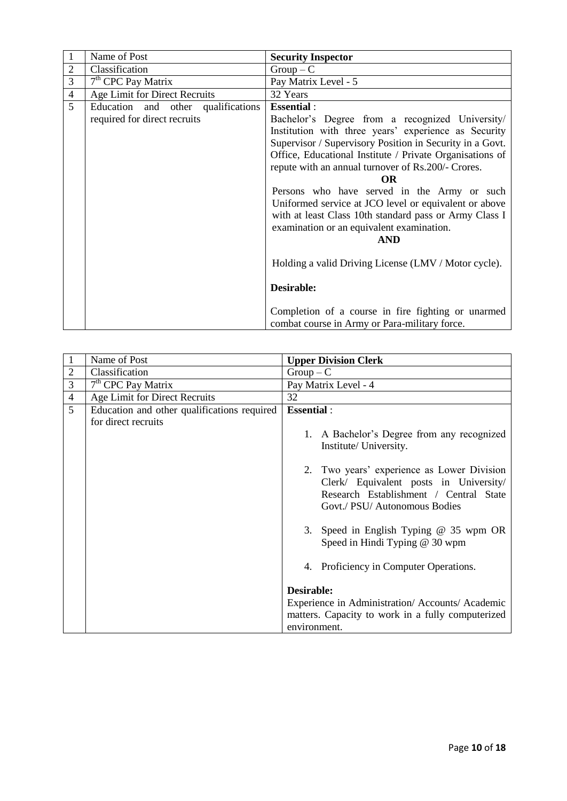|                | Name of Post                       | <b>Security Inspector</b>                                                                           |
|----------------|------------------------------------|-----------------------------------------------------------------------------------------------------|
| $\overline{2}$ | Classification                     | $Group-C$                                                                                           |
| 3              | $7th$ CPC Pay Matrix               | Pay Matrix Level - 5                                                                                |
| $\overline{4}$ | Age Limit for Direct Recruits      | 32 Years                                                                                            |
| 5              | Education and other qualifications | <b>Essential:</b>                                                                                   |
|                | required for direct recruits       | Bachelor's Degree from a recognized University/                                                     |
|                |                                    | Institution with three years' experience as Security                                                |
|                |                                    | Supervisor / Supervisory Position in Security in a Govt.                                            |
|                |                                    | Office, Educational Institute / Private Organisations of                                            |
|                |                                    | repute with an annual turnover of Rs.200/- Crores.                                                  |
|                |                                    | <b>OR</b>                                                                                           |
|                |                                    | Persons who have served in the Army or such                                                         |
|                |                                    | Uniformed service at JCO level or equivalent or above                                               |
|                |                                    | with at least Class 10th standard pass or Army Class I                                              |
|                |                                    | examination or an equivalent examination.                                                           |
|                |                                    | <b>AND</b>                                                                                          |
|                |                                    |                                                                                                     |
|                |                                    | Holding a valid Driving License (LMV / Motor cycle).                                                |
|                |                                    |                                                                                                     |
|                |                                    | Desirable:                                                                                          |
|                |                                    | Completion of a course in fire fighting or unarmed<br>combat course in Army or Para-military force. |

|                | Name of Post                                | <b>Upper Division Clerk</b>                       |
|----------------|---------------------------------------------|---------------------------------------------------|
| $\overline{2}$ | Classification                              | $Group - C$                                       |
| 3              | $7th$ CPC Pay Matrix                        | Pay Matrix Level - 4                              |
| $\overline{4}$ | Age Limit for Direct Recruits               | 32                                                |
| 5              | Education and other qualifications required | <b>Essential:</b>                                 |
|                | for direct recruits                         |                                                   |
|                |                                             | 1. A Bachelor's Degree from any recognized        |
|                |                                             | Institute/ University.                            |
|                |                                             |                                                   |
|                |                                             | 2. Two years' experience as Lower Division        |
|                |                                             | Clerk/ Equivalent posts in University/            |
|                |                                             | Research Establishment / Central State            |
|                |                                             | Govt./ PSU/ Autonomous Bodies                     |
|                |                                             |                                                   |
|                |                                             | 3. Speed in English Typing @ 35 wpm OR            |
|                |                                             | Speed in Hindi Typing @ 30 wpm                    |
|                |                                             |                                                   |
|                |                                             | 4. Proficiency in Computer Operations.            |
|                |                                             |                                                   |
|                |                                             | Desirable:                                        |
|                |                                             | Experience in Administration/Accounts/Academic    |
|                |                                             | matters. Capacity to work in a fully computerized |
|                |                                             | environment.                                      |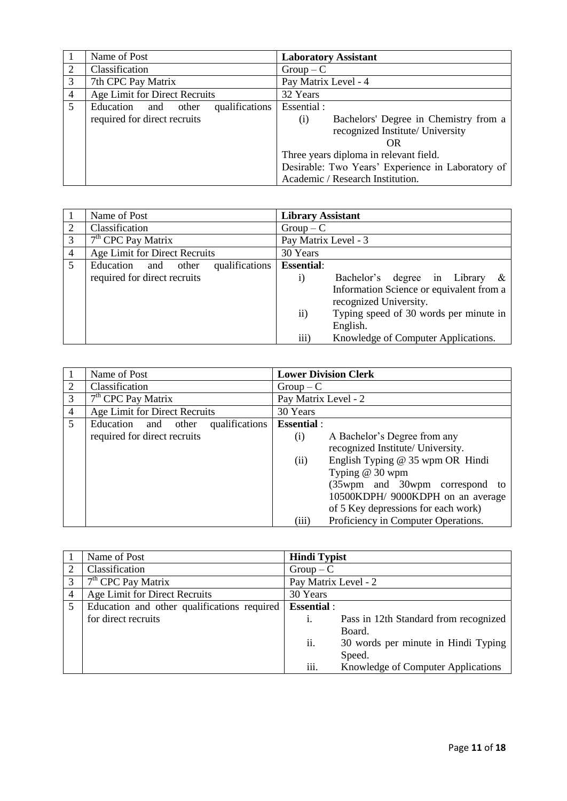|                | Name of Post                          | <b>Laboratory Assistant</b>                       |
|----------------|---------------------------------------|---------------------------------------------------|
| 2              | Classification                        | $Group - C$                                       |
| 3              | 7th CPC Pay Matrix                    | Pay Matrix Level - 4                              |
| $\overline{4}$ | Age Limit for Direct Recruits         | 32 Years                                          |
| 5 <sup>5</sup> | qualifications<br>Education and other | Essential :                                       |
|                | required for direct recruits          | Bachelors' Degree in Chemistry from a<br>(i)      |
|                |                                       | recognized Institute/ University                  |
|                |                                       | OR.                                               |
|                |                                       | Three years diploma in relevant field.            |
|                |                                       | Desirable: Two Years' Experience in Laboratory of |
|                |                                       | Academic / Research Institution.                  |

|                | Name of Post                          | <b>Library Assistant</b> |                                          |
|----------------|---------------------------------------|--------------------------|------------------------------------------|
| 2              | Classification                        | $Group - C$              |                                          |
| 3              | $7th$ CPC Pay Matrix                  | Pay Matrix Level - 3     |                                          |
| $\overline{4}$ | Age Limit for Direct Recruits         | 30 Years                 |                                          |
| 5              | qualifications<br>Education and other | <b>Essential:</b>        |                                          |
|                | required for direct recruits          | $\mathbf{i}$             | Bachelor's degree in Library<br>&        |
|                |                                       |                          | Information Science or equivalent from a |
|                |                                       |                          | recognized University.                   |
|                |                                       | $\ddot{\text{1}}$        | Typing speed of 30 words per minute in   |
|                |                                       |                          | English.                                 |
|                |                                       | iii)                     | Knowledge of Computer Applications.      |

|                | Name of Post                          | <b>Lower Division Clerk</b>                  |
|----------------|---------------------------------------|----------------------------------------------|
| $\overline{2}$ | Classification                        | $Group - C$                                  |
| 3              | $7th$ CPC Pay Matrix                  | Pay Matrix Level - 2                         |
| $\overline{4}$ | Age Limit for Direct Recruits         | 30 Years                                     |
| 5 <sup>5</sup> | Education and other<br>qualifications | <b>Essential:</b>                            |
|                | required for direct recruits          | A Bachelor's Degree from any<br>(i)          |
|                |                                       | recognized Institute/ University.            |
|                |                                       | English Typing @ 35 wpm OR Hindi<br>(ii)     |
|                |                                       | Typing $@30$ wpm                             |
|                |                                       | (35wpm and 30wpm correspond to               |
|                |                                       | 10500KDPH/ 9000KDPH on an average            |
|                |                                       | of 5 Key depressions for each work)          |
|                |                                       | Proficiency in Computer Operations.<br>(iii) |

|   | Name of Post                                | <b>Hindi Typist</b>  |                                       |
|---|---------------------------------------------|----------------------|---------------------------------------|
|   | Classification                              | $Group - C$          |                                       |
| 3 | $7th$ CPC Pay Matrix                        | Pay Matrix Level - 2 |                                       |
|   | Age Limit for Direct Recruits               | 30 Years             |                                       |
| 5 | Education and other qualifications required | <b>Essential</b> :   |                                       |
|   | for direct recruits                         | 1.                   | Pass in 12th Standard from recognized |
|   |                                             |                      | Board.                                |
|   |                                             | ii.                  | 30 words per minute in Hindi Typing   |
|   |                                             |                      | Speed.                                |
|   |                                             | iii.                 | Knowledge of Computer Applications    |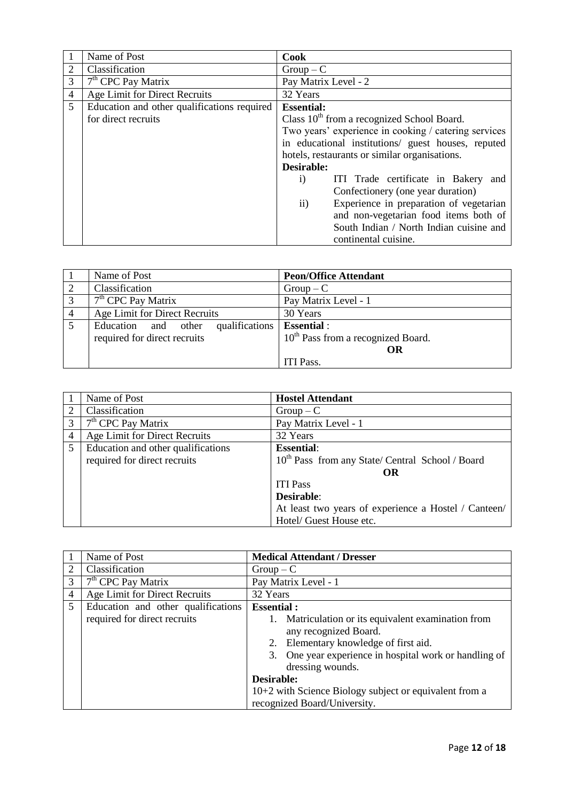|                | Name of Post                                | Cook                                                     |
|----------------|---------------------------------------------|----------------------------------------------------------|
|                | Classification                              | $Group - C$                                              |
| 3              | $7th$ CPC Pay Matrix                        | Pay Matrix Level - 2                                     |
| $\overline{4}$ | Age Limit for Direct Recruits               | 32 Years                                                 |
| 5              | Education and other qualifications required | <b>Essential:</b>                                        |
|                | for direct recruits                         | Class $10th$ from a recognized School Board.             |
|                |                                             | Two years' experience in cooking / catering services     |
|                |                                             | in educational institutions/ guest houses, reputed       |
|                |                                             | hotels, restaurants or similar organisations.            |
|                |                                             | Desirable:                                               |
|                |                                             | ITI Trade certificate in Bakery and<br>$\mathbf{i}$      |
|                |                                             | Confectionery (one year duration)                        |
|                |                                             | Experience in preparation of vegetarian<br>$\mathbf{ii}$ |
|                |                                             | and non-vegetarian food items both of                    |
|                |                                             | South Indian / North Indian cuisine and                  |
|                |                                             | continental cuisine.                                     |

|   | Name of Post                       | <b>Peon/Office Attendant</b>                   |
|---|------------------------------------|------------------------------------------------|
|   | Classification                     | $Group - C$                                    |
|   | $7th$ CPC Pay Matrix               | Pay Matrix Level - 1                           |
| 4 | Age Limit for Direct Recruits      | 30 Years                                       |
|   | Education and other qualifications | <b>Essential</b> :                             |
|   | required for direct recruits       | 10 <sup>th</sup> Pass from a recognized Board. |
|   |                                    | OR                                             |
|   |                                    | <b>ITI Pass.</b>                               |

|   | Name of Post                       | <b>Hostel Attendant</b>                                      |
|---|------------------------------------|--------------------------------------------------------------|
| 2 | Classification                     | $Group - C$                                                  |
|   | $7th$ CPC Pay Matrix               | Pay Matrix Level - 1                                         |
| 4 | Age Limit for Direct Recruits      | 32 Years                                                     |
| 5 | Education and other qualifications | <b>Essential:</b>                                            |
|   | required for direct recruits       | 10 <sup>th</sup> Pass from any State/ Central School / Board |
|   |                                    | OR                                                           |
|   |                                    | <b>ITI Pass</b>                                              |
|   |                                    | <b>Desirable:</b>                                            |
|   |                                    | At least two years of experience a Hostel / Canteen/         |
|   |                                    | Hotel/ Guest House etc.                                      |

|   | Name of Post                       | <b>Medical Attendant / Dresser</b>                                                                                                                                                               |  |
|---|------------------------------------|--------------------------------------------------------------------------------------------------------------------------------------------------------------------------------------------------|--|
|   | Classification                     | $Group - C$                                                                                                                                                                                      |  |
|   | $7th$ CPC Pay Matrix               | Pay Matrix Level - 1                                                                                                                                                                             |  |
| 4 | Age Limit for Direct Recruits      | 32 Years                                                                                                                                                                                         |  |
| 5 | Education and other qualifications | <b>Essential:</b>                                                                                                                                                                                |  |
|   | required for direct recruits       | Matriculation or its equivalent examination from<br>any recognized Board.<br>2. Elementary knowledge of first aid.<br>3. One year experience in hospital work or handling of<br>dressing wounds. |  |
|   |                                    | Desirable:                                                                                                                                                                                       |  |
|   |                                    | 10+2 with Science Biology subject or equivalent from a                                                                                                                                           |  |
|   |                                    | recognized Board/University.                                                                                                                                                                     |  |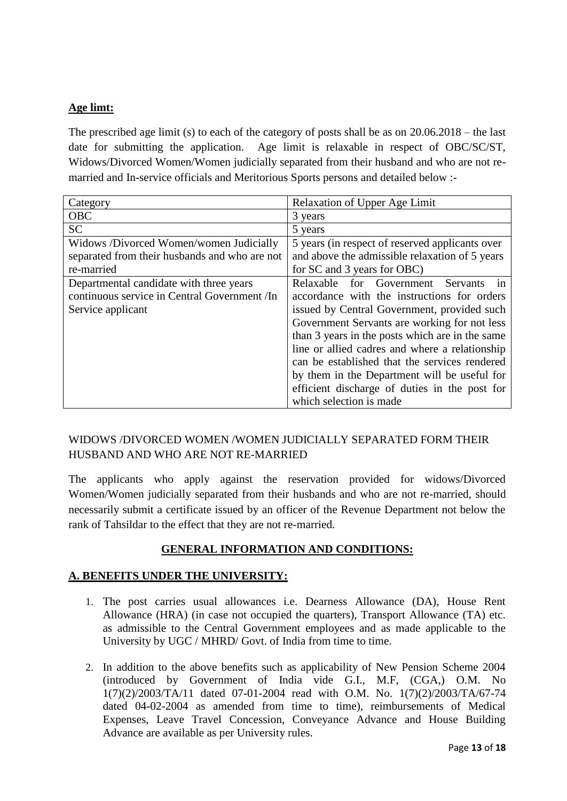### **Age limt:**

The prescribed age limit (s) to each of the category of posts shall be as on  $20.06.2018$  – the last date for submitting the application. Age limit is relaxable in respect of OBC/SC/ST, Widows/Divorced Women/Women judicially separated from their husband and who are not remarried and In-service officials and Meritorious Sports persons and detailed below :-

| Category                                      | <b>Relaxation of Upper Age Limit</b>            |
|-----------------------------------------------|-------------------------------------------------|
| <b>OBC</b>                                    | 3 years                                         |
| <b>SC</b>                                     | 5 years                                         |
| Widows /Divorced Women/women Judicially       | 5 years (in respect of reserved applicants over |
| separated from their husbands and who are not | and above the admissible relaxation of 5 years  |
| re-married                                    | for SC and 3 years for OBC)                     |
| Departmental candidate with three years       | in<br>Relaxable for Government Servants         |
| continuous service in Central Government /In  | accordance with the instructions for orders     |
| Service applicant                             | issued by Central Government, provided such     |
|                                               | Government Servants are working for not less    |
|                                               | than 3 years in the posts which are in the same |
|                                               | line or allied cadres and where a relationship  |
|                                               | can be established that the services rendered   |
|                                               | by them in the Department will be useful for    |
|                                               | efficient discharge of duties in the post for   |
|                                               | which selection is made                         |

### WIDOWS /DIVORCED WOMEN /WOMEN JUDICIALLY SEPARATED FORM THEIR HUSBAND AND WHO ARE NOT RE-MARRIED

The applicants who apply against the reservation provided for widows/Divorced Women/Women judicially separated from their husbands and who are not re-married, should necessarily submit a certificate issued by an officer of the Revenue Department not below the rank of Tahsildar to the effect that they are not re-married.

#### **GENERAL INFORMATION AND CONDITIONS:**

#### **A. BENEFITS UNDER THE UNIVERSITY:**

- 1. The post carries usual allowances i.e. Dearness Allowance (DA), House Rent Allowance (HRA) (in case not occupied the quarters), Transport Allowance (TA) etc. as admissible to the Central Government employees and as made applicable to the University by UGC / MHRD/ Govt. of India from time to time.
- 2. In addition to the above benefits such as applicability of New Pension Scheme 2004 (introduced by Government of India vide G.I., M.F, (CGA,) O.M. No 1(7)(2)/2003/TA/11 dated 07-01-2004 read with O.M. No. 1(7)(2)/2003/TA/67-74 dated 04-02-2004 as amended from time to time), reimbursements of Medical Expenses, Leave Travel Concession, Conveyance Advance and House Building Advance are available as per University rules.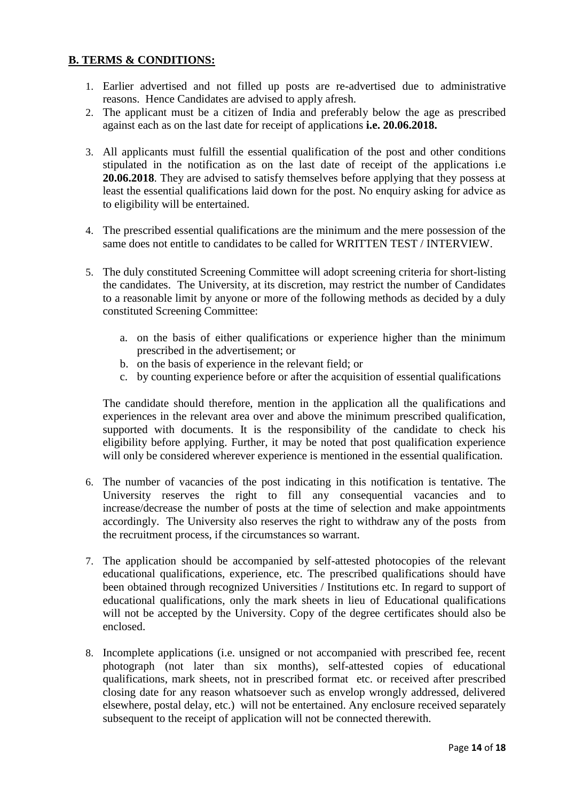#### **B. TERMS & CONDITIONS:**

- 1. Earlier advertised and not filled up posts are re-advertised due to administrative reasons. Hence Candidates are advised to apply afresh.
- 2. The applicant must be a citizen of India and preferably below the age as prescribed against each as on the last date for receipt of applications **i.e. 20.06.2018.**
- 3. All applicants must fulfill the essential qualification of the post and other conditions stipulated in the notification as on the last date of receipt of the applications i.e **20.06.2018**. They are advised to satisfy themselves before applying that they possess at least the essential qualifications laid down for the post. No enquiry asking for advice as to eligibility will be entertained.
- 4. The prescribed essential qualifications are the minimum and the mere possession of the same does not entitle to candidates to be called for WRITTEN TEST / INTERVIEW.
- 5. The duly constituted Screening Committee will adopt screening criteria for short-listing the candidates. The University, at its discretion, may restrict the number of Candidates to a reasonable limit by anyone or more of the following methods as decided by a duly constituted Screening Committee:
	- a. on the basis of either qualifications or experience higher than the minimum prescribed in the advertisement; or
	- b. on the basis of experience in the relevant field; or
	- c. by counting experience before or after the acquisition of essential qualifications

The candidate should therefore, mention in the application all the qualifications and experiences in the relevant area over and above the minimum prescribed qualification, supported with documents. It is the responsibility of the candidate to check his eligibility before applying. Further, it may be noted that post qualification experience will only be considered wherever experience is mentioned in the essential qualification.

- 6. The number of vacancies of the post indicating in this notification is tentative. The University reserves the right to fill any consequential vacancies and to increase/decrease the number of posts at the time of selection and make appointments accordingly. The University also reserves the right to withdraw any of the posts from the recruitment process, if the circumstances so warrant.
- 7. The application should be accompanied by self-attested photocopies of the relevant educational qualifications, experience, etc. The prescribed qualifications should have been obtained through recognized Universities / Institutions etc. In regard to support of educational qualifications, only the mark sheets in lieu of Educational qualifications will not be accepted by the University. Copy of the degree certificates should also be enclosed.
- 8. Incomplete applications (i.e. unsigned or not accompanied with prescribed fee, recent photograph (not later than six months), self-attested copies of educational qualifications, mark sheets, not in prescribed format etc. or received after prescribed closing date for any reason whatsoever such as envelop wrongly addressed, delivered elsewhere, postal delay, etc.) will not be entertained. Any enclosure received separately subsequent to the receipt of application will not be connected therewith.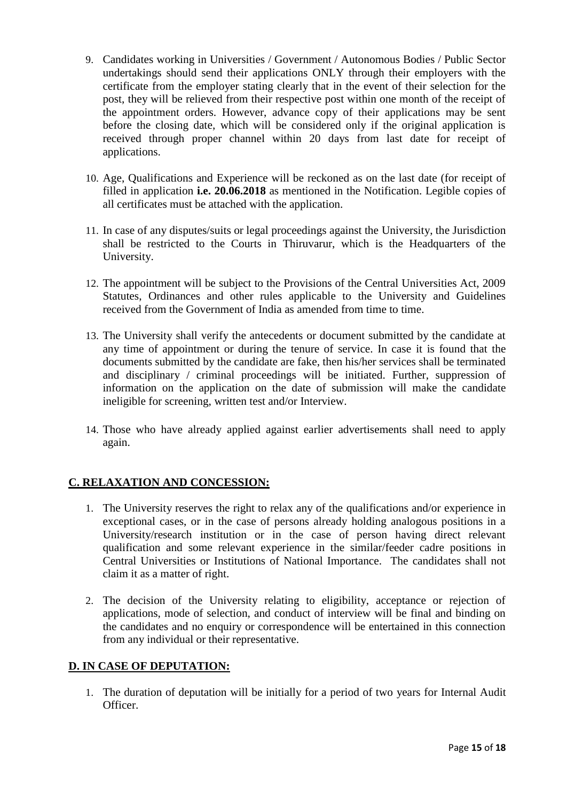- 9. Candidates working in Universities / Government / Autonomous Bodies / Public Sector undertakings should send their applications ONLY through their employers with the certificate from the employer stating clearly that in the event of their selection for the post, they will be relieved from their respective post within one month of the receipt of the appointment orders. However, advance copy of their applications may be sent before the closing date, which will be considered only if the original application is received through proper channel within 20 days from last date for receipt of applications.
- 10. Age, Qualifications and Experience will be reckoned as on the last date (for receipt of filled in application **i.e. 20.06.2018** as mentioned in the Notification. Legible copies of all certificates must be attached with the application.
- 11. In case of any disputes/suits or legal proceedings against the University, the Jurisdiction shall be restricted to the Courts in Thiruvarur, which is the Headquarters of the University.
- 12. The appointment will be subject to the Provisions of the Central Universities Act, 2009 Statutes, Ordinances and other rules applicable to the University and Guidelines received from the Government of India as amended from time to time.
- 13. The University shall verify the antecedents or document submitted by the candidate at any time of appointment or during the tenure of service. In case it is found that the documents submitted by the candidate are fake, then his/her services shall be terminated and disciplinary / criminal proceedings will be initiated. Further, suppression of information on the application on the date of submission will make the candidate ineligible for screening, written test and/or Interview.
- 14. Those who have already applied against earlier advertisements shall need to apply again.

#### **C. RELAXATION AND CONCESSION:**

- 1. The University reserves the right to relax any of the qualifications and/or experience in exceptional cases, or in the case of persons already holding analogous positions in a University/research institution or in the case of person having direct relevant qualification and some relevant experience in the similar/feeder cadre positions in Central Universities or Institutions of National Importance. The candidates shall not claim it as a matter of right.
- 2. The decision of the University relating to eligibility, acceptance or rejection of applications, mode of selection, and conduct of interview will be final and binding on the candidates and no enquiry or correspondence will be entertained in this connection from any individual or their representative.

#### **D. IN CASE OF DEPUTATION:**

1. The duration of deputation will be initially for a period of two years for Internal Audit Officer.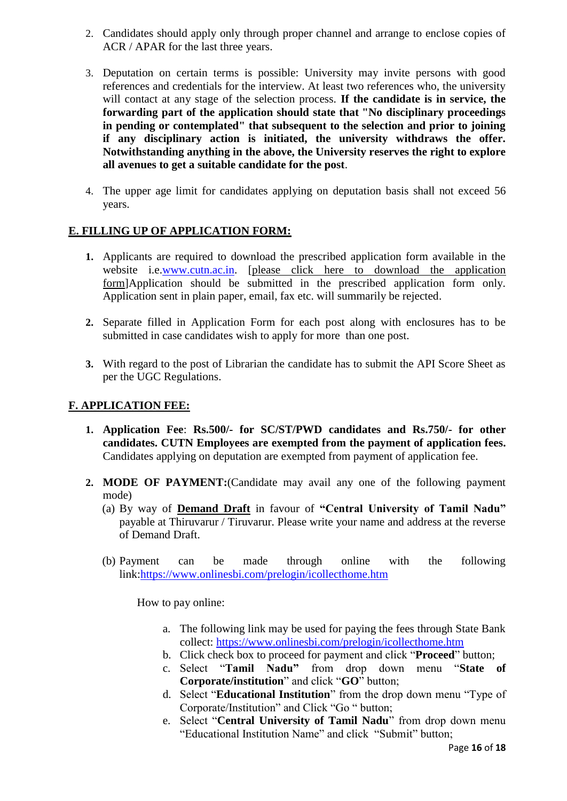- 2. Candidates should apply only through proper channel and arrange to enclose copies of ACR / APAR for the last three years.
- 3. Deputation on certain terms is possible: University may invite persons with good references and credentials for the interview. At least two references who, the university will contact at any stage of the selection process. **If the candidate is in service, the forwarding part of the application should state that "No disciplinary proceedings in pending or contemplated" that subsequent to the selection and prior to joining if any disciplinary action is initiated, the university withdraws the offer. Notwithstanding anything in the above, the University reserves the right to explore all avenues to get a suitable candidate for the post**.
- 4. The upper age limit for candidates applying on deputation basis shall not exceed 56 years.

#### **E. FILLING UP OF APPLICATION FORM:**

- **1.** Applicants are required to download the prescribed application form available in the website i.e[.www.cutn.ac.in.](http://www.cutn.ac.in/) [please click here to download the application [form\]](file:///C:/Users/cutn10/AppData/Local/Microsoft/Windows/Temporary%20Internet%20Files/Content.IE5/FE8SXRH6/FO%20application%20form.docx)Application should be submitted in the prescribed application form only. Application sent in plain paper, email, fax etc. will summarily be rejected.
- **2.** Separate filled in Application Form for each post along with enclosures has to be submitted in case candidates wish to apply for more than one post.
- **3.** With regard to the post of Librarian the candidate has to submit the API Score Sheet as per the UGC Regulations.

#### **F. APPLICATION FEE:**

- **1. Application Fee**: **Rs.500/- for SC/ST/PWD candidates and Rs.750/- for other candidates. CUTN Employees are exempted from the payment of application fees.** Candidates applying on deputation are exempted from payment of application fee.
- **2. MODE OF PAYMENT:**(Candidate may avail any one of the following payment mode)
	- (a) By way of **Demand Draft** in favour of **"Central University of Tamil Nadu"** payable at Thiruvarur / Tiruvarur. Please write your name and address at the reverse of Demand Draft.
	- (b) Payment can be made through online with the following link[:https://www.onlinesbi.com/prelogin/icollecthome.htm](https://www.onlinesbi.com/prelogin/icollecthome.htm)

How to pay online:

- a. The following link may be used for paying the fees through State Bank collect:<https://www.onlinesbi.com/prelogin/icollecthome.htm>
- b. Click check box to proceed for payment and click "**Proceed**" button;
- c. Select "**Tamil Nadu"** from drop down menu "**State of Corporate/institution**" and click "**GO**" button;
- d. Select "**Educational Institution**" from the drop down menu "Type of Corporate/Institution" and Click "Go " button;
- e. Select "**Central University of Tamil Nadu**" from drop down menu "Educational Institution Name" and click "Submit" button;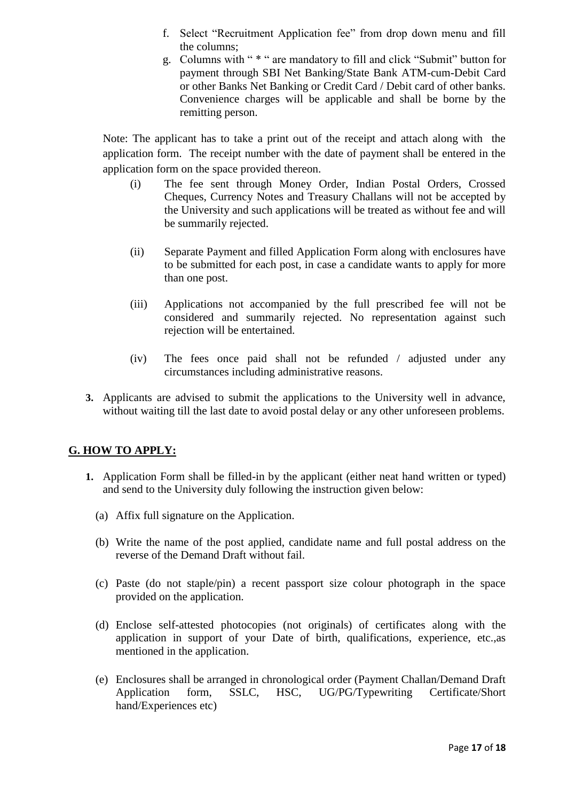- f. Select "Recruitment Application fee" from drop down menu and fill the columns;
- g. Columns with " \* " are mandatory to fill and click "Submit" button for payment through SBI Net Banking/State Bank ATM-cum-Debit Card or other Banks Net Banking or Credit Card / Debit card of other banks. Convenience charges will be applicable and shall be borne by the remitting person.

Note: The applicant has to take a print out of the receipt and attach along with the application form. The receipt number with the date of payment shall be entered in the application form on the space provided thereon.

- (i) The fee sent through Money Order, Indian Postal Orders, Crossed Cheques, Currency Notes and Treasury Challans will not be accepted by the University and such applications will be treated as without fee and will be summarily rejected.
- (ii) Separate Payment and filled Application Form along with enclosures have to be submitted for each post, in case a candidate wants to apply for more than one post.
- (iii) Applications not accompanied by the full prescribed fee will not be considered and summarily rejected. No representation against such rejection will be entertained.
- (iv) The fees once paid shall not be refunded / adjusted under any circumstances including administrative reasons.
- **3.** Applicants are advised to submit the applications to the University well in advance, without waiting till the last date to avoid postal delay or any other unforeseen problems.

### **G. HOW TO APPLY:**

- **1.** Application Form shall be filled-in by the applicant (either neat hand written or typed) and send to the University duly following the instruction given below:
	- (a) Affix full signature on the Application.
	- (b) Write the name of the post applied, candidate name and full postal address on the reverse of the Demand Draft without fail.
	- (c) Paste (do not staple/pin) a recent passport size colour photograph in the space provided on the application.
	- (d) Enclose self-attested photocopies (not originals) of certificates along with the application in support of your Date of birth, qualifications, experience, etc.,as mentioned in the application.
	- (e) Enclosures shall be arranged in chronological order (Payment Challan/Demand Draft Application form, SSLC, HSC, UG/PG/Typewriting Certificate/Short hand/Experiences etc)